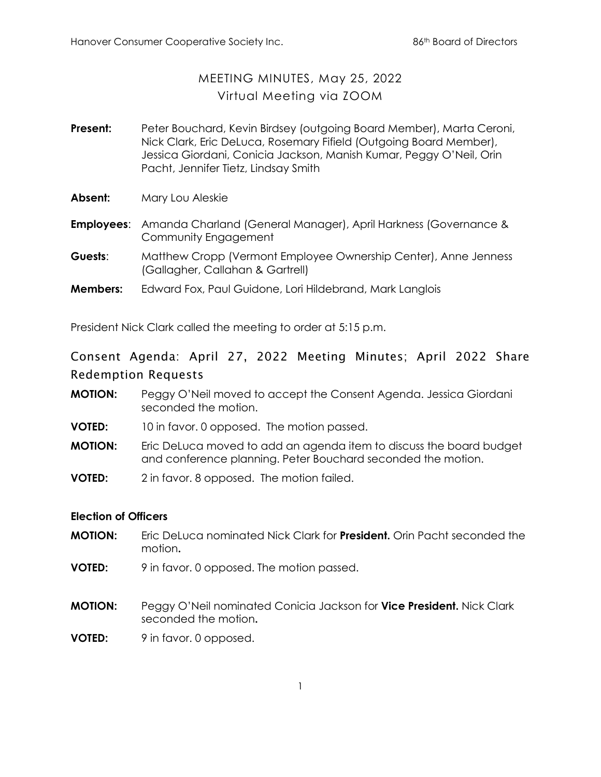## MEETING MINUTES, May 25, 2022 Virtual Meeting via ZOOM

- **Present:** Peter Bouchard, Kevin Birdsey (outgoing Board Member), Marta Ceroni, Nick Clark, Eric DeLuca, Rosemary Fifield (Outgoing Board Member), Jessica Giordani, Conicia Jackson, Manish Kumar, Peggy O'Neil, Orin Pacht, Jennifer Tietz, Lindsay Smith
- **Absent:** Mary Lou Aleskie
- **Employees**: Amanda Charland (General Manager), April Harkness (Governance & Community Engagement
- **Guests**: Matthew Cropp (Vermont Employee Ownership Center), Anne Jenness (Gallagher, Callahan & Gartrell)
- **Members:** Edward Fox, Paul Guidone, Lori Hildebrand, Mark Langlois

President Nick Clark called the meeting to order at 5:15 p.m.

# Consent Agenda: April 27, 2022 Meeting Minutes; April 2022 Share Redemption Requests

- **MOTION:** Peggy O'Neil moved to accept the Consent Agenda. Jessica Giordani seconded the motion.
- **VOTED:** 10 in favor. 0 opposed. The motion passed.
- **MOTION:** Eric DeLuca moved to add an agenda item to discuss the board budget and conference planning. Peter Bouchard seconded the motion.
- **VOTED:** 2 in favor. 8 opposed. The motion failed.

#### **Election of Officers**

- **MOTION:** Eric DeLuca nominated Nick Clark for **President.** Orin Pacht seconded the motion**.**
- **VOTED:** 9 in favor. 0 opposed. The motion passed.
- **MOTION:** Peggy O'Neil nominated Conicia Jackson for **Vice President.** Nick Clark seconded the motion**.**
- **VOTED:** 9 in favor. 0 opposed.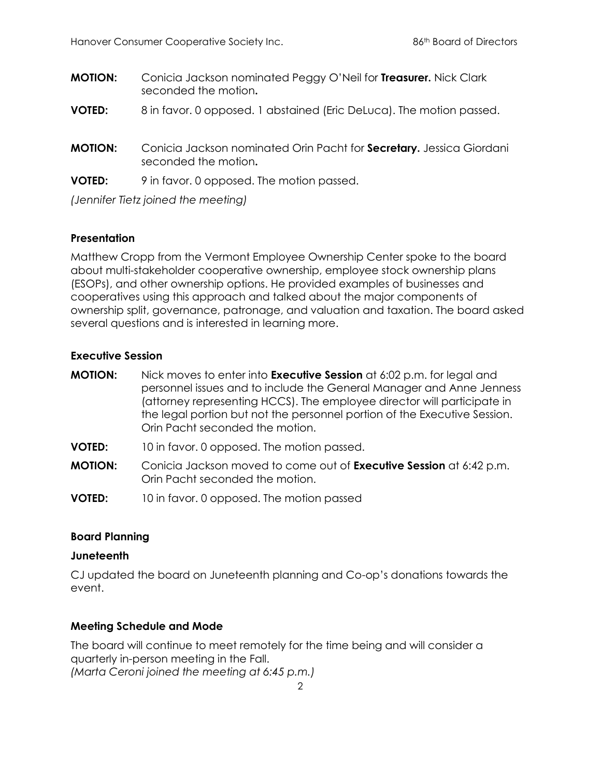- **MOTION:** Conicia Jackson nominated Peggy O'Neil for **Treasurer.** Nick Clark seconded the motion**.**
- **VOTED:** 8 in favor. 0 opposed. 1 abstained (Eric DeLuca). The motion passed.
- **MOTION:** Conicia Jackson nominated Orin Pacht for **Secretary.** Jessica Giordani seconded the motion**.**
- **VOTED:** 9 in favor. 0 opposed. The motion passed.

*(Jennifer Tietz joined the meeting)*

## **Presentation**

Matthew Cropp from the Vermont Employee Ownership Center spoke to the board about multi-stakeholder cooperative ownership, employee stock ownership plans (ESOPs), and other ownership options. He provided examples of businesses and cooperatives using this approach and talked about the major components of ownership split, governance, patronage, and valuation and taxation. The board asked several questions and is interested in learning more.

## **Executive Session**

- **MOTION:** Nick moves to enter into **Executive Session** at 6:02 p.m. for legal and personnel issues and to include the General Manager and Anne Jenness (attorney representing HCCS). The employee director will participate in the legal portion but not the personnel portion of the Executive Session. Orin Pacht seconded the motion.
- **VOTED:** 10 in favor. 0 opposed. The motion passed.
- **MOTION:** Conicia Jackson moved to come out of **Executive Session** at 6:42 p.m. Orin Pacht seconded the motion.
- **VOTED:** 10 in favor. 0 opposed. The motion passed

## **Board Planning**

## **Juneteenth**

CJ updated the board on Juneteenth planning and Co-op's donations towards the event.

## **Meeting Schedule and Mode**

The board will continue to meet remotely for the time being and will consider a quarterly in-person meeting in the Fall. *(Marta Ceroni joined the meeting at 6:45 p.m.)*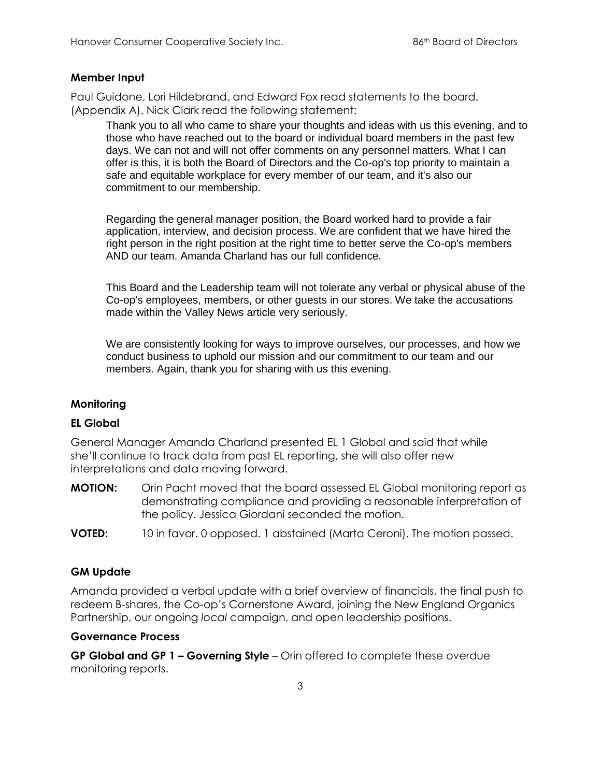#### **Member Input**

Paul Guidone, Lori Hildebrand, and Edward Fox read statements to the board. (Appendix A). Nick Clark read the following statement:

Thank you to all who came to share your thoughts and ideas with us this evening, and to those who have reached out to the board or individual board members in the past few days. We can not and will not offer comments on any personnel matters. What I can offer is this, it is both the Board of Directors and the Co-op's top priority to maintain a safe and equitable workplace for every member of our team, and it's also our commitment to our membership.

Regarding the general manager position, the Board worked hard to provide a fair application, interview, and decision process. We are confident that we have hired the right person in the right position at the right time to better serve the Co-op's members AND our team. Amanda Charland has our full confidence.

This Board and the Leadership team will not tolerate any verbal or physical abuse of the Co-op's employees, members, or other guests in our stores. We take the accusations made within the Valley News article very seriously.

We are consistently looking for ways to improve ourselves, our processes, and how we conduct business to uphold our mission and our commitment to our team and our members. Again, thank you for sharing with us this evening.

#### **Monitoring**

#### **EL Global**

General Manager Amanda Charland presented EL 1 Global and said that while she'll continue to track data from past EL reporting, she will also offer new interpretations and data moving forward.

- **MOTION:** Orin Pacht moved that the board assessed EL Global monitoring report as demonstrating compliance and providing a reasonable interpretation of the policy. Jessica Giordani seconded the motion.
- **VOTED:** 10 in favor. 0 opposed. 1 abstained (Marta Ceroni). The motion passed.

#### **GM Update**

Amanda provided a verbal update with a brief overview of financials, the final push to redeem B-shares, the Co-op's Cornerstone Award, joining the New England Organics Partnership, our ongoing *local* campaign, and open leadership positions.

#### **Governance Process**

**GP Global and GP 1 – Governing Style** – Orin offered to complete these overdue monitoring reports.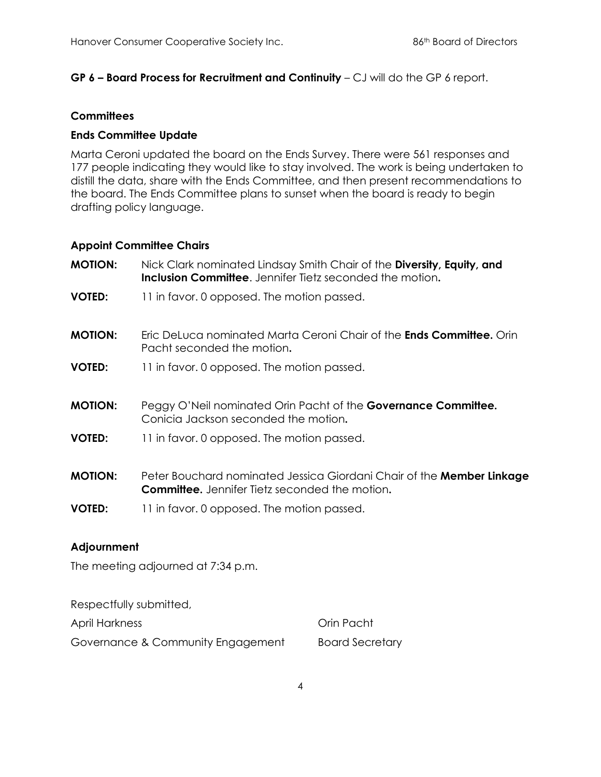## **GP 6 – Board Process for Recruitment and Continuity** – CJ will do the GP 6 report.

#### **Committees**

### **Ends Committee Update**

Marta Ceroni updated the board on the Ends Survey. There were 561 responses and 177 people indicating they would like to stay involved. The work is being undertaken to distill the data, share with the Ends Committee, and then present recommendations to the board. The Ends Committee plans to sunset when the board is ready to begin drafting policy language.

#### **Appoint Committee Chairs**

| <b>MOTION:</b> | Nick Clark nominated Lindsay Smith Chair of the Diversity, Equity, and<br><b>Inclusion Committee.</b> Jennifer Tietz seconded the motion. |
|----------------|-------------------------------------------------------------------------------------------------------------------------------------------|
| <b>VOTED:</b>  | 11 in favor. 0 opposed. The motion passed.                                                                                                |
| <b>MOTION:</b> | <u>Eric DeLuca nominated Marta Ceroni Chair of the <b>Ends Committee.</b> Orin</u><br>Pacht seconded the motion.                          |
| <b>VOTED:</b>  | 11 in favor. 0 opposed. The motion passed.                                                                                                |
| <b>MOTION:</b> | Peggy O'Neil nominated Orin Pacht of the <b>Governance Committee.</b><br>Conicia Jackson seconded the motion.                             |
| <b>VOTED:</b>  | 11 in favor. 0 opposed. The motion passed.                                                                                                |
| <b>MOTION:</b> | Peter Bouchard nominated Jessica Giordani Chair of the Member Linkage<br><b>Committee.</b> Jennifer Tietz seconded the motion.            |
| <b>VOTED:</b>  | 11 in favor. 0 opposed. The motion passed.                                                                                                |

#### **Adjournment**

The meeting adjourned at 7:34 p.m.

Respectfully submitted,

April Harkness **Orin Pacht** 

Governance & Community Engagement Board Secretary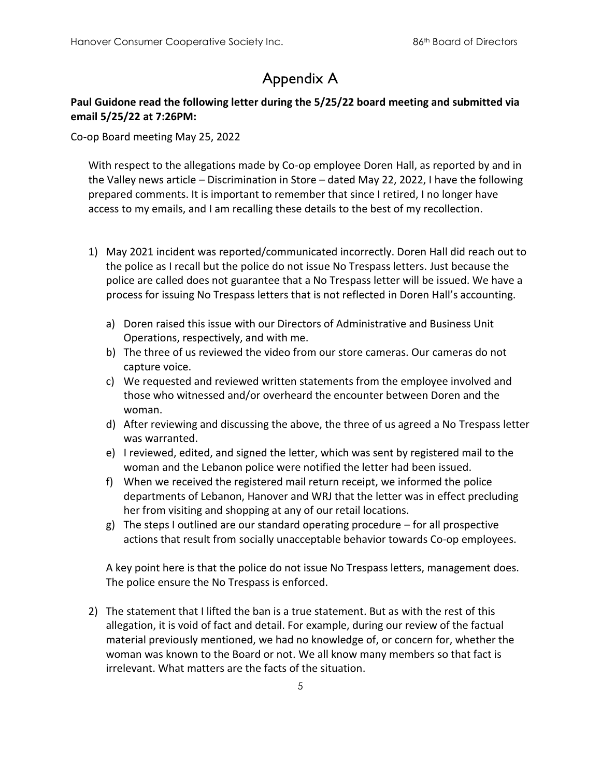# Appendix A

## **Paul Guidone read the following letter during the 5/25/22 board meeting and submitted via email 5/25/22 at 7:26PM:**

Co-op Board meeting May 25, 2022

With respect to the allegations made by Co-op employee Doren Hall, as reported by and in the Valley news article – Discrimination in Store – dated May 22, 2022, I have the following prepared comments. It is important to remember that since I retired, I no longer have access to my emails, and I am recalling these details to the best of my recollection.

- 1) May 2021 incident was reported/communicated incorrectly. Doren Hall did reach out to the police as I recall but the police do not issue No Trespass letters. Just because the police are called does not guarantee that a No Trespass letter will be issued. We have a process for issuing No Trespass letters that is not reflected in Doren Hall's accounting.
	- a) Doren raised this issue with our Directors of Administrative and Business Unit Operations, respectively, and with me.
	- b) The three of us reviewed the video from our store cameras. Our cameras do not capture voice.
	- c) We requested and reviewed written statements from the employee involved and those who witnessed and/or overheard the encounter between Doren and the woman.
	- d) After reviewing and discussing the above, the three of us agreed a No Trespass letter was warranted.
	- e) I reviewed, edited, and signed the letter, which was sent by registered mail to the woman and the Lebanon police were notified the letter had been issued.
	- f) When we received the registered mail return receipt, we informed the police departments of Lebanon, Hanover and WRJ that the letter was in effect precluding her from visiting and shopping at any of our retail locations.
	- g) The steps I outlined are our standard operating procedure for all prospective actions that result from socially unacceptable behavior towards Co-op employees.

A key point here is that the police do not issue No Trespass letters, management does. The police ensure the No Trespass is enforced.

2) The statement that I lifted the ban is a true statement. But as with the rest of this allegation, it is void of fact and detail. For example, during our review of the factual material previously mentioned, we had no knowledge of, or concern for, whether the woman was known to the Board or not. We all know many members so that fact is irrelevant. What matters are the facts of the situation.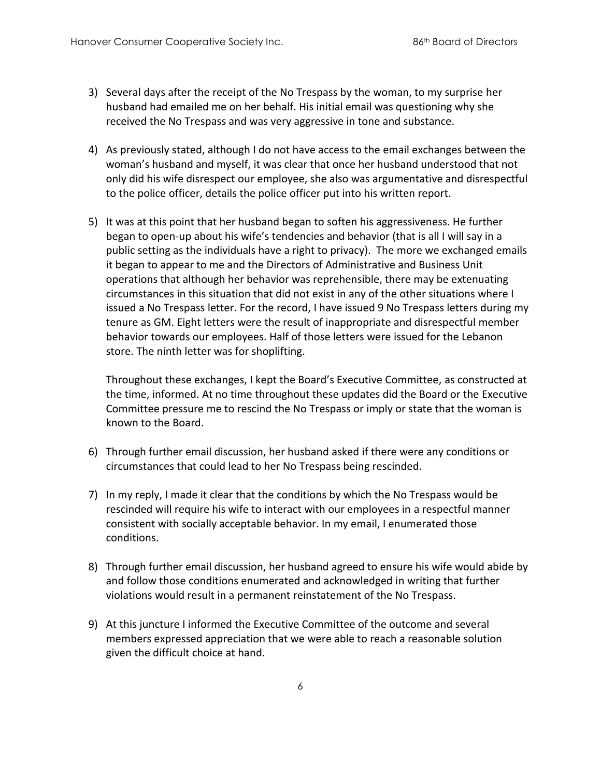- 3) Several days after the receipt of the No Trespass by the woman, to my surprise her husband had emailed me on her behalf. His initial email was questioning why she received the No Trespass and was very aggressive in tone and substance.
- 4) As previously stated, although I do not have access to the email exchanges between the woman's husband and myself, it was clear that once her husband understood that not only did his wife disrespect our employee, she also was argumentative and disrespectful to the police officer, details the police officer put into his written report.
- 5) It was at this point that her husband began to soften his aggressiveness. He further began to open-up about his wife's tendencies and behavior (that is all I will say in a public setting as the individuals have a right to privacy). The more we exchanged emails it began to appear to me and the Directors of Administrative and Business Unit operations that although her behavior was reprehensible, there may be extenuating circumstances in this situation that did not exist in any of the other situations where I issued a No Trespass letter. For the record, I have issued 9 No Trespass letters during my tenure as GM. Eight letters were the result of inappropriate and disrespectful member behavior towards our employees. Half of those letters were issued for the Lebanon store. The ninth letter was for shoplifting.

Throughout these exchanges, I kept the Board's Executive Committee, as constructed at the time, informed. At no time throughout these updates did the Board or the Executive Committee pressure me to rescind the No Trespass or imply or state that the woman is known to the Board.

- 6) Through further email discussion, her husband asked if there were any conditions or circumstances that could lead to her No Trespass being rescinded.
- 7) In my reply, I made it clear that the conditions by which the No Trespass would be rescinded will require his wife to interact with our employees in a respectful manner consistent with socially acceptable behavior. In my email, I enumerated those conditions.
- 8) Through further email discussion, her husband agreed to ensure his wife would abide by and follow those conditions enumerated and acknowledged in writing that further violations would result in a permanent reinstatement of the No Trespass.
- 9) At this juncture I informed the Executive Committee of the outcome and several members expressed appreciation that we were able to reach a reasonable solution given the difficult choice at hand.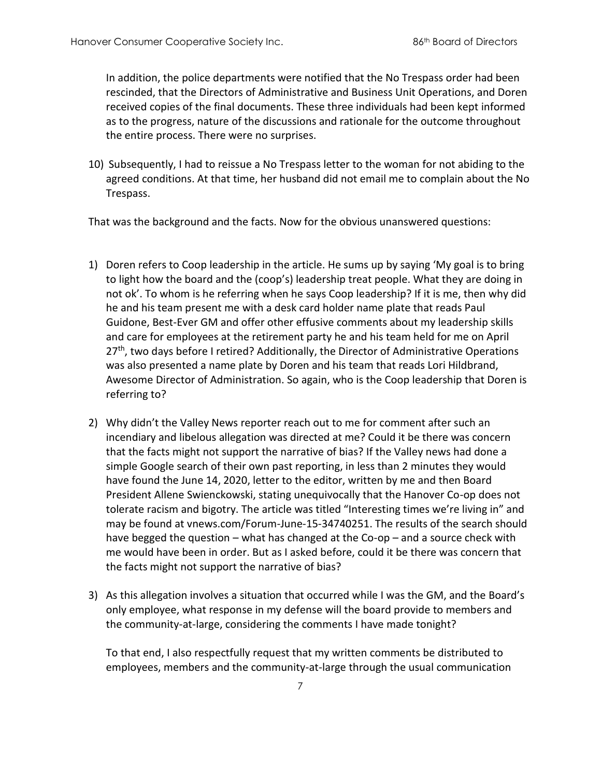In addition, the police departments were notified that the No Trespass order had been rescinded, that the Directors of Administrative and Business Unit Operations, and Doren received copies of the final documents. These three individuals had been kept informed as to the progress, nature of the discussions and rationale for the outcome throughout the entire process. There were no surprises.

10) Subsequently, I had to reissue a No Trespass letter to the woman for not abiding to the agreed conditions. At that time, her husband did not email me to complain about the No Trespass.

That was the background and the facts. Now for the obvious unanswered questions:

- 1) Doren refers to Coop leadership in the article. He sums up by saying 'My goal is to bring to light how the board and the (coop's) leadership treat people. What they are doing in not ok'. To whom is he referring when he says Coop leadership? If it is me, then why did he and his team present me with a desk card holder name plate that reads Paul Guidone, Best-Ever GM and offer other effusive comments about my leadership skills and care for employees at the retirement party he and his team held for me on April 27<sup>th</sup>, two days before I retired? Additionally, the Director of Administrative Operations was also presented a name plate by Doren and his team that reads Lori Hildbrand, Awesome Director of Administration. So again, who is the Coop leadership that Doren is referring to?
- 2) Why didn't the Valley News reporter reach out to me for comment after such an incendiary and libelous allegation was directed at me? Could it be there was concern that the facts might not support the narrative of bias? If the Valley news had done a simple Google search of their own past reporting, in less than 2 minutes they would have found the June 14, 2020, letter to the editor, written by me and then Board President Allene Swienckowski, stating unequivocally that the Hanover Co-op does not tolerate racism and bigotry. The article was titled "Interesting times we're living in" and may be found at vnews.com/Forum-June-15-34740251. The results of the search should have begged the question – what has changed at the Co-op – and a source check with me would have been in order. But as I asked before, could it be there was concern that the facts might not support the narrative of bias?
- 3) As this allegation involves a situation that occurred while I was the GM, and the Board's only employee, what response in my defense will the board provide to members and the community-at-large, considering the comments I have made tonight?

To that end, I also respectfully request that my written comments be distributed to employees, members and the community-at-large through the usual communication